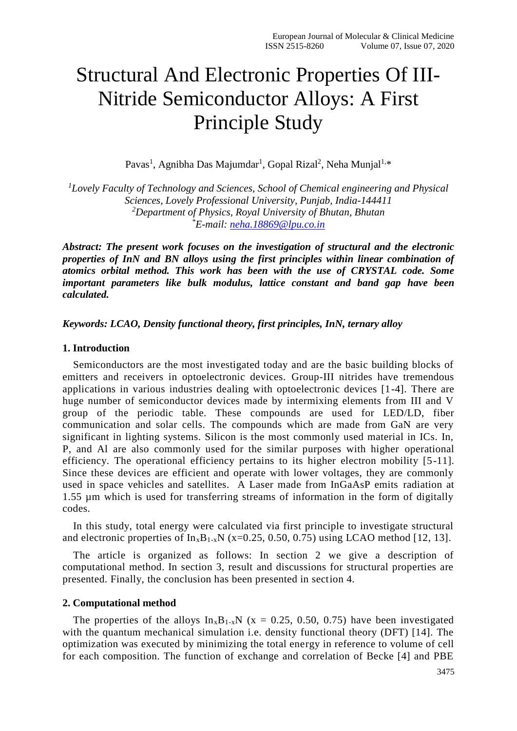# Structural And Electronic Properties Of III-Nitride Semiconductor Alloys: A First Principle Study

Pavas<sup>1</sup>, Agnibha Das Majumdar<sup>1</sup>, Gopal Rizal<sup>2</sup>, Neha Munjal<sup>1,\*</sup>

*<sup>1</sup>Lovely Faculty of Technology and Sciences, School of Chemical engineering and Physical Sciences, Lovely Professional University, Punjab, India-144411 <sup>2</sup>Department of Physics, Royal University of Bhutan, Bhutan \*E-mail: [neha.18869@lpu.co.in](mailto:neha.18869@lpu.co.in)*

*Abstract: The present work focuses on the investigation of structural and the electronic properties of InN and BN alloys using the first principles within linear combination of atomics orbital method. This work has been with the use of CRYSTAL code. Some important parameters like bulk modulus, lattice constant and band gap have been calculated.* 

### *Keywords: LCAO, Density functional theory, first principles, InN, ternary alloy*

#### **1. Introduction**

Semiconductors are the most investigated today and are the basic building blocks of emitters and receivers in optoelectronic devices. Group-III nitrides have tremendous applications in various industries dealing with optoelectronic devices [1-4]. There are huge number of semiconductor devices made by intermixing elements from III and V group of the periodic table. These compounds are used for LED/LD, fiber communication and solar cells. The compounds which are made from GaN are very significant in lighting systems. Silicon is the most commonly used material in ICs. In, P, and Al are also commonly used for the similar purposes with higher operational efficiency. The operational efficiency pertains to its higher electron mobility [5-11]. Since these devices are efficient and operate with lower voltages, they are commonly used in space vehicles and satellites. A Laser made from InGaAsP emits radiation at 1.55 µm which is used for transferring streams of information in the form of digitally codes.

In this study, total energy were calculated via first principle to investigate structural and electronic properties of  $In_xB_{1-x}N$  (x=0.25, 0.50, 0.75) using LCAO method [12, 13].

The article is organized as follows: In section 2 we give a description of computational method. In section 3, result and discussions for structural properties are presented. Finally, the conclusion has been presented in section 4.

#### **2. Computational method**

The properties of the alloys  $In_xB_{1-x}N$  (x = 0.25, 0.50, 0.75) have been investigated with the quantum mechanical simulation i.e. density functional theory (DFT) [14]. The optimization was executed by minimizing the total energy in reference to volume of cell for each composition. The function of exchange and correlation of Becke [4] and PBE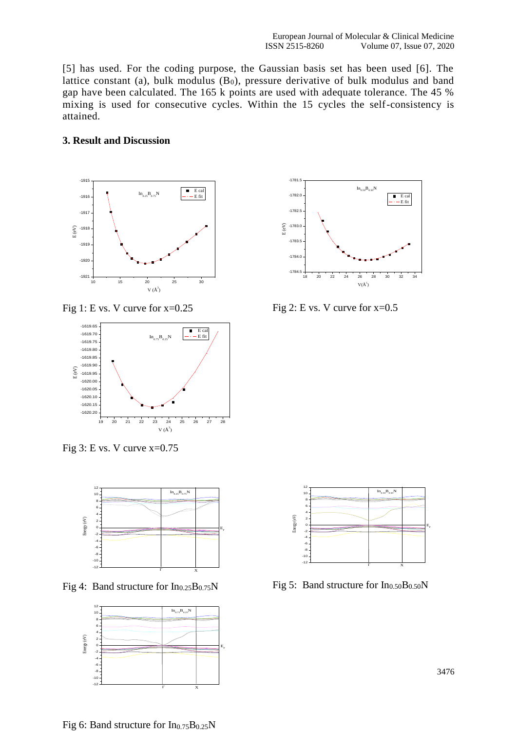[5] has used. For the coding purpose, the Gaussian basis set has been used [6]. The lattice constant (a), bulk modulus  $(B_0)$ , pressure derivative of bulk modulus and band gap have been calculated. The 165 k points are used with adequate tolerance. The 45 % mixing is used for consecutive cycles. Within the 15 cycles the self-consistency is attained.

## **3. Result and Discussion**



Fig 1: E vs. V curve for  $x=0.25$ 



Fig  $3: E$  vs. V curve  $x=0.75$ 



Fig 4: Band structure for  $In_{0.25}B_{0.75}N$ 





Fig 2: E vs. V curve for  $x=0.5$ 



Fig 5: Band structure for  $In<sub>0.50</sub>B<sub>0.50</sub>N$ 

Fig 6: Band structure for  $In_{0.75}B_{0.25}N$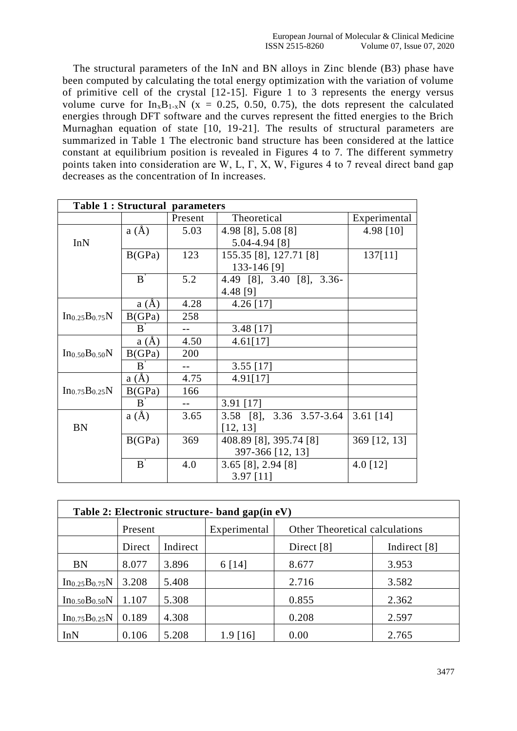The structural parameters of the InN and BN alloys in Zinc blende (B3) phase have been computed by calculating the total energy optimization with the variation of volume of primitive cell of the crystal [12-15]. Figure 1 to 3 represents the energy versus volume curve for  $In_xB_{1-x}N$  (x = 0.25, 0.50, 0.75), the dots represent the calculated energies through DFT software and the curves represent the fitted energies to the Brich Murnaghan equation of state [10, 19-21]. The results of structural parameters are summarized in Table 1 The electronic band structure has been considered at the lattice constant at equilibrium position is revealed in Figures 4 to 7. The different symmetry points taken into consideration are W, L, Γ, X, W, Figures 4 to 7 reveal direct band gap decreases as the concentration of In increases.

| <b>Table 1: Structural parameters</b>  |              |         |                                    |              |  |  |
|----------------------------------------|--------------|---------|------------------------------------|--------------|--|--|
|                                        |              | Present | Theoretical                        | Experimental |  |  |
|                                        | a(A)         | 5.03    | 4.98 [8], 5.08 [8]                 | 4.98 [10]    |  |  |
| InN                                    |              |         | 5.04-4.94 [8]                      |              |  |  |
|                                        | B(GPa)       | 123     | 155.35 [8], 127.71 [8]             | 137[11]      |  |  |
|                                        |              |         | 133-146 [9]                        |              |  |  |
| $B^{'}$                                |              | 5.2     | 4.49 [8], 3.40 [8], 3.36-          |              |  |  |
|                                        |              |         | 4.48 [9]                           |              |  |  |
| $In_{0.25}B_{0.75}N$                   | a(A)         | 4.28    | $4.26$ [17]                        |              |  |  |
|                                        | B(GPa)       | 258     |                                    |              |  |  |
|                                        | $B^{\prime}$ |         | $3.48$ [17]                        |              |  |  |
| In <sub>0.50</sub> B <sub>0.50</sub> N | a(A)         | 4.50    | 4.61[17]                           |              |  |  |
|                                        | B(GPa)       | 200     |                                    |              |  |  |
|                                        | B            |         | $3.55$ [17]                        |              |  |  |
| $In_{0.75}B_{0.25}N$                   | a(A)         | 4.75    | 4.91[17]                           |              |  |  |
|                                        | B(GPa)       | 166     |                                    |              |  |  |
|                                        | $B^{\prime}$ |         | 3.91 [17]                          |              |  |  |
| <b>BN</b>                              | a(A)         | 3.65    | 3.58 [8], 3.36 3.57-3.64           | 3.61 $[14]$  |  |  |
|                                        |              |         | [12, 13]                           |              |  |  |
|                                        | B(GPa)       | 369     | 408.89 [8], 395.74 [8]             | 369 [12, 13] |  |  |
|                                        |              |         | 397-366 [12, 13]                   |              |  |  |
|                                        | $B^{'}$      | 4.0     | $3.65$ [8], 2.94 [8]<br>4.0 $[12]$ |              |  |  |
|                                        |              |         | $3.97$ [11]                        |              |  |  |

| Table 2: Electronic structure- band gap(in eV) |         |          |              |                                       |              |  |  |  |  |
|------------------------------------------------|---------|----------|--------------|---------------------------------------|--------------|--|--|--|--|
|                                                | Present |          | Experimental | <b>Other Theoretical calculations</b> |              |  |  |  |  |
|                                                | Direct  | Indirect |              | Direct [8]                            | Indirect [8] |  |  |  |  |
| BN                                             | 8.077   | 3.896    | 6 [14]       | 8.677                                 | 3.953        |  |  |  |  |
| $In_{0.25}B_{0.75}N$                           | 3.208   | 5.408    |              | 2.716                                 | 3.582        |  |  |  |  |
| $In_{0.50}B_{0.50}N$                           | 1.107   | 5.308    |              | 0.855                                 | 2.362        |  |  |  |  |
| $In_{0.75}B_{0.25}N$                           | 0.189   | 4.308    |              | 0.208                                 | 2.597        |  |  |  |  |
| InN                                            | 0.106   | 5.208    | 1.9 1161     | 0.00                                  | 2.765        |  |  |  |  |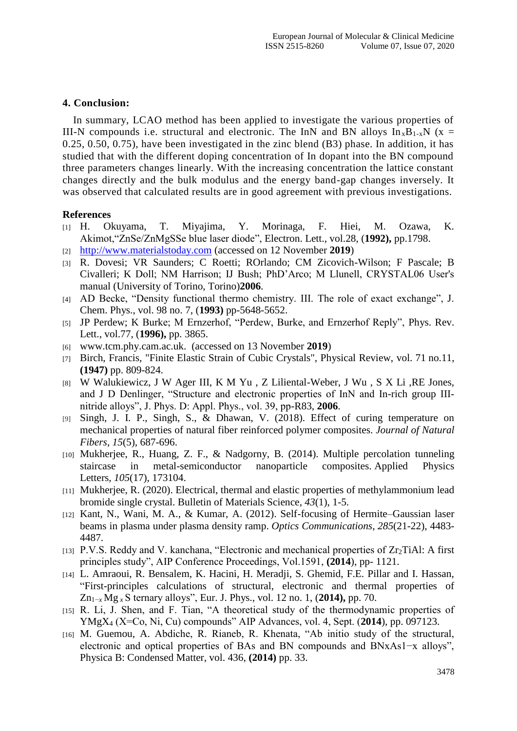## **4. Conclusion:**

In summary, LCAO method has been applied to investigate the various properties of III-N compounds i.e. structural and electronic. The InN and BN alloys  $In_xB_{1-x}N$  (x = 0.25, 0.50, 0.75), have been investigated in the zinc blend (B3) phase. In addition, it has studied that with the different doping concentration of In dopant into the BN compound three parameters changes linearly. With the increasing concentration the lattice constant changes directly and the bulk modulus and the energy band-gap changes inversely. It was observed that calculated results are in good agreement with previous investigations.

## **References**

- [1] H. Okuyama, T. Miyajima, Y. Morinaga, F. Hiei, M. Ozawa, K. Akimot,"ZnSe/ZnMgSSe blue laser diode", Electron. Lett., vol.28, (**1992),** pp.1798.
- [2] [http://www.materialstoday.com](http://www.materialstoday.com/) (accessed on 12 November **2019**)
- [3] R. Dovesi; VR Saunders; C Roetti; ROrlando; CM Zicovich-Wilson; F Pascale; B Civalleri; K Doll; NM Harrison; IJ Bush; PhD'Arco; M Llunell, CRYSTAL06 User's manual (University of Torino, Torino)**2006**.
- [4] AD Becke, "Density functional thermo chemistry. III. The role of exact exchange", J. Chem. Phys., vol. 98 no. 7, (**1993)** pp-5648-5652.
- [5] JP Perdew; K Burke; M Ernzerhof, "Perdew, Burke, and Ernzerhof Reply", Phys. Rev. Lett., vol.77, (**1996),** pp. 3865.
- [6] www.tcm.phy.cam.ac.uk. (accessed on 13 November **2019**)
- [7] Birch, Francis, "Finite Elastic Strain of Cubic Crystals", Physical Review, vol. 71 no.11, **(1947)** pp. 809-824.
- [8] W Walukiewicz, J W Ager III, K M Yu , Z Liliental-Weber, J Wu , S X Li ,RE Jones, and J D Denlinger, "Structure and electronic properties of InN and In-rich group IIInitride alloys", J. Phys. D: Appl. Phys., vol. 39, pp-R83, **2006**.
- [9] Singh, J. I. P., Singh, S., & Dhawan, V. (2018). Effect of curing temperature on mechanical properties of natural fiber reinforced polymer composites. *Journal of Natural Fibers*, *15*(5), 687-696.
- [10] Mukherjee, R., Huang, Z. F., & Nadgorny, B. (2014). Multiple percolation tunneling staircase in metal-semiconductor nanoparticle composites. Applied Physics Letters, *105*(17), 173104.
- [11] Mukherjee, R. (2020). Electrical, thermal and elastic properties of methylammonium lead bromide single crystal. Bulletin of Materials Science, *43*(1), 1-5.
- [12] Kant, N., Wani, M. A., & Kumar, A. (2012). Self-focusing of Hermite–Gaussian laser beams in plasma under plasma density ramp. *Optics Communications*, *285*(21-22), 4483- 4487.
- [13] P.V.S. Reddy and V. kanchana, "Electronic and mechanical properties of  $Zr_2TiAl$ : A first principles study", AIP Conference Proceedings, Vol.1591, **(2014**), pp- 1121.
- [14] L. Amraoui, R. Bensalem, K. Hacini, H. Meradji, S. Ghemid, F.E. Pillar and I. Hassan, "First-principles calculations of structural, electronic and thermal properties of Zn1−*<sup>x</sup>* Mg *<sup>x</sup>* S ternary alloys", Eur. J. Phys., vol. 12 no. 1, (**2014),** pp. 70.
- [15] R. Li, J. Shen, and F. Tian, "A theoretical study of the thermodynamic properties of YMgX<sup>4</sup> (X=Co, Ni, Cu) compounds" AIP Advances, vol. 4, Sept. (**2014**), pp. 097123.
- [16] M. Guemou, A. Abdiche, R. Rianeb, R. Khenata, "Ab initio study of the structural, electronic and optical properties of BAs and BN compounds and BNxAs1−x alloys", Physica B: Condensed Matter, vol. 436, **(2014)** pp. 33.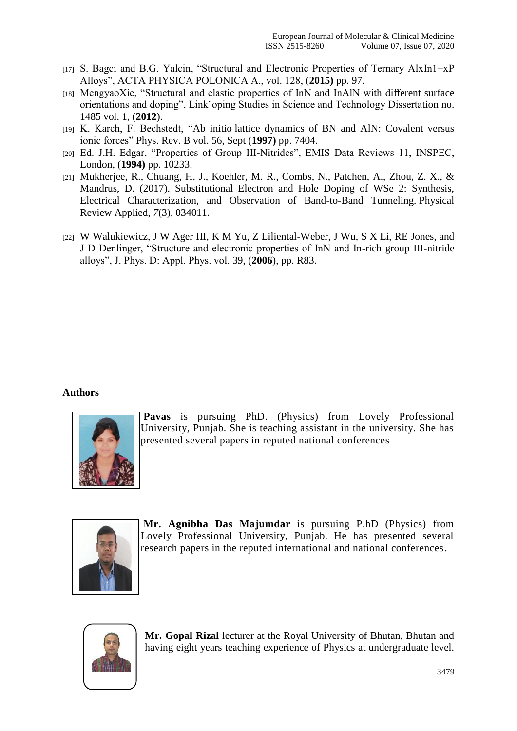- [17] S. Bagci and B.G. Yalcin, "Structural and Electronic Properties of Ternary AlxIn1−xP Alloys", ACTA PHYSICA POLONICA A., vol. 128, (**2015)** pp. 97.
- [18] MengyaoXie, "Structural and elastic properties of InN and InAlN with different surface orientations and doping", Link¨oping Studies in Science and Technology Dissertation no. 1485 vol. 1, (**2012**).
- [19] K. Karch, F. Bechstedt, "Ab initio lattice dynamics of BN and AlN: Covalent versus ionic forces" Phys. Rev. B vol. 56, Sept (**1997)** pp. 7404.
- [20] Ed. J.H. Edgar, "Properties of Group III-Nitrides", EMIS Data Reviews 11, INSPEC, London, (**1994)** pp. 10233.
- [21] Mukherjee, R., Chuang, H. J., Koehler, M. R., Combs, N., Patchen, A., Zhou, Z. X., & Mandrus, D. (2017). Substitutional Electron and Hole Doping of WSe 2: Synthesis, Electrical Characterization, and Observation of Band-to-Band Tunneling. Physical Review Applied, *7*(3), 034011.
- [22] W Walukiewicz, J W Ager III, K M Yu, Z Liliental-Weber, J Wu, S X Li, RE Jones, and J D Denlinger, "Structure and electronic properties of InN and In-rich group III-nitride alloys", J. Phys. D: Appl. Phys. vol. 39, (**2006**), pp. R83.

## **Authors**



**Pavas** is pursuing PhD. (Physics) from Lovely Professional University, Punjab. She is teaching assistant in the university. She has presented several papers in reputed national conferences



**Mr. Agnibha Das Majumdar** is pursuing P.hD (Physics) from Lovely Professional University, Punjab. He has presented several research papers in the reputed international and national conferences.



**Mr. Gopal Rizal** lecturer at the Royal University of Bhutan, Bhutan and having eight years teaching experience of Physics at undergraduate level.